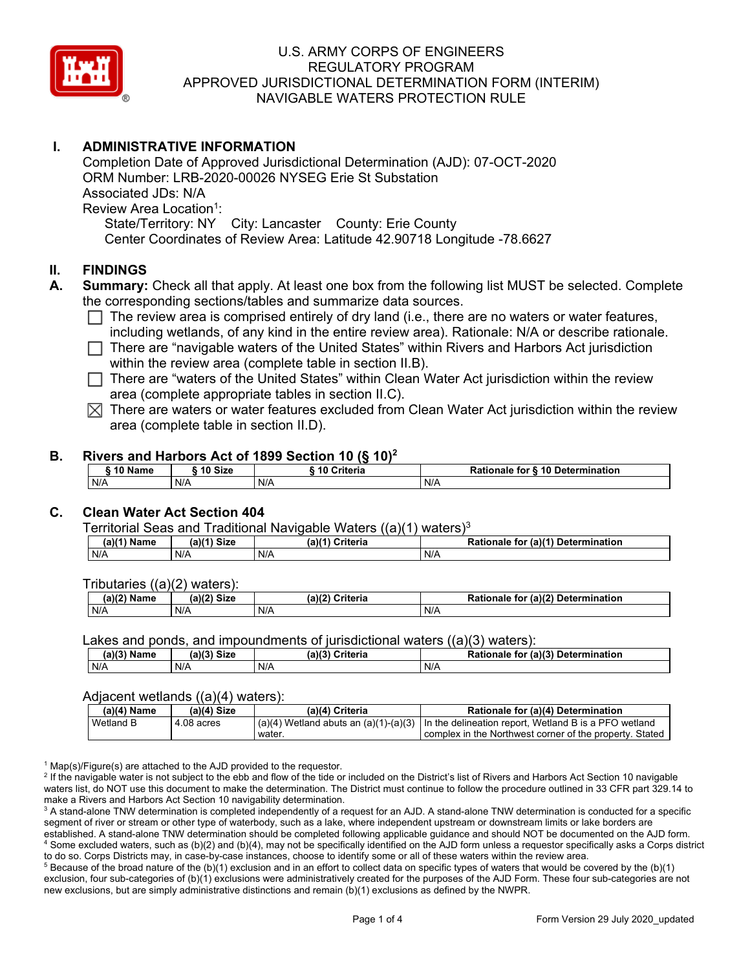

# **I. ADMINISTRATIVE INFORMATION**

Completion Date of Approved Jurisdictional Determination (AJD): 07-OCT-2020 ORM Number: LRB-2020-00026 NYSEG Erie St Substation Associated JDs: N/A Review Area Location<sup>1</sup>: State/Territory: NY City: Lancaster County: Erie County Center Coordinates of Review Area: Latitude 42.90718 Longitude -78.6627

#### **II. FINDINGS**

- **A. Summary:** Check all that apply. At least one box from the following list MUST be selected. Complete the corresponding sections/tables and summarize data sources.
	- $\Box$  The review area is comprised entirely of dry land (i.e., there are no waters or water features, including wetlands, of any kind in the entire review area). Rationale: N/A or describe rationale.
	- $\Box$  There are "navigable waters of the United States" within Rivers and Harbors Act jurisdiction within the review area (complete table in section II.B).
	- $\Box$  There are "waters of the United States" within Clean Water Act jurisdiction within the review area (complete appropriate tables in section II.C).
	- $\boxtimes$  There are waters or water features excluded from Clean Water Act jurisdiction within the review area (complete table in section II.D).

#### **B. Rivers and Harbors Act of 1899 Section 10 (§ 10)2**

| 10 Size<br>10 Name |     | -----------<br>. .<br>____<br>10 Criteria | Rationale for § 10 Determination |  |
|--------------------|-----|-------------------------------------------|----------------------------------|--|
| N/A                | N/A | N/A                                       | N/A                              |  |

### **C. Clean Water Act Section 404**

Territorial Seas and Traditional Navigable Waters ((a)(1) waters)3

| (2)<br>Name | (a)<br><b>Size</b> | `riteria<br>$(a)$ $(4)$ | <b>Determination</b><br>י פ<br>(a)(1<br>tor<br>nale |
|-------------|--------------------|-------------------------|-----------------------------------------------------|
| N/A         | N/A                | N/A                     | N/t                                                 |

Tributaries ((a)(2) waters):

| (a)(2) $^{\sim}$<br>Name | (a)(2)<br>Siz⊾ | (a)(2)<br>$\sim$ Critoria<br>uriteria | Rationa.<br>$ur$ (a)(2) Determin<br>mination<br>for<br>naie<br>NО |
|--------------------------|----------------|---------------------------------------|-------------------------------------------------------------------|
| N/A                      | N/A            | N/A                                   | N/A                                                               |

Lakes and ponds, and impoundments of jurisdictional waters  $((a)(3)$  waters):

| (a)(3) Name | $(a)$ $(2)$<br><b>Size</b> | (a)(3) | <b>Criteria</b> | Rationale<br>tor | (a)(3)<br>Determination |
|-------------|----------------------------|--------|-----------------|------------------|-------------------------|
| N/A         | N/A                        | N/A    |                 | N/A              |                         |

#### Adjacent wetlands ((a)(4) waters):

| $(a)(4)$ Name | (a)(4) Size  | (a)(4) Criteria | Rationale for (a)(4) Determination                                                              |
|---------------|--------------|-----------------|-------------------------------------------------------------------------------------------------|
| Wetland B     | $4.08$ acres |                 | $(a)(4)$ Wetland abuts an $(a)(1)-(a)(3)$ In the delineation report, Wetland B is a PFO wetland |
|               |              | water.          | complex in the Northwest corner of the property. Stated                                         |

 $1$  Map(s)/Figure(s) are attached to the AJD provided to the requestor.

<sup>2</sup> If the navigable water is not subject to the ebb and flow of the tide or included on the District's list of Rivers and Harbors Act Section 10 navigable waters list, do NOT use this document to make the determination. The District must continue to follow the procedure outlined in 33 CFR part 329.14 to make a Rivers and Harbors Act Section 10 navigability determination.

<sup>3</sup> A stand-alone TNW determination is completed independently of a request for an AJD. A stand-alone TNW determination is conducted for a specific segment of river or stream or other type of waterbody, such as a lake, where independent upstream or downstream limits or lake borders are established. A stand-alone TNW determination should be completed following applicable guidance and should NOT be documented on the AJD form. <sup>4</sup> Some excluded waters, such as (b)(2) and (b)(4), may not be specifically identified on the AJD form unless a requestor specifically asks a Corps district to do so. Corps Districts may, in case-by-case instances, choose to identify some or all of these waters within the review area.

 $5$  Because of the broad nature of the (b)(1) exclusion and in an effort to collect data on specific types of waters that would be covered by the (b)(1) exclusion, four sub-categories of (b)(1) exclusions were administratively created for the purposes of the AJD Form. These four sub-categories are not new exclusions, but are simply administrative distinctions and remain (b)(1) exclusions as defined by the NWPR.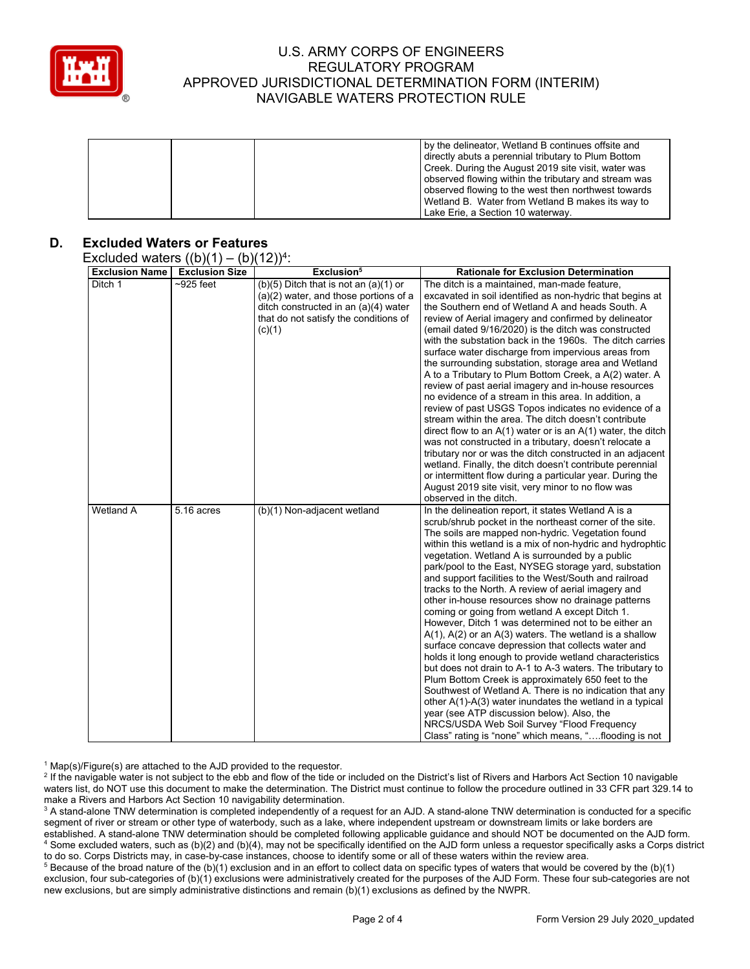

| by the delineator, Wetland B continues offsite and   |
|------------------------------------------------------|
| directly abuts a perennial tributary to Plum Bottom  |
| Creek. During the August 2019 site visit, water was  |
| observed flowing within the tributary and stream was |
| observed flowing to the west then northwest towards  |
| Wetland B. Water from Wetland B makes its way to     |
| Lake Erie, a Section 10 waterway.                    |

## **D. Excluded Waters or Features**

#### Excluded waters  $((b)(1) - (b)(12))^{4}$

| $\frac{1}{2}$<br><b>Exclusion Name</b> | <b>Exclusion Size</b> | (2)<br>Exclusion <sup>5</sup>                                                                                                                                                   | <b>Rationale for Exclusion Determination</b>                                                                                                                                                                                                                                                                                                                                                                                                                                                                                                                                                                                                                                                                                                                                                                                                                                                                                                                                                                                                                                                                                                                                                                 |
|----------------------------------------|-----------------------|---------------------------------------------------------------------------------------------------------------------------------------------------------------------------------|--------------------------------------------------------------------------------------------------------------------------------------------------------------------------------------------------------------------------------------------------------------------------------------------------------------------------------------------------------------------------------------------------------------------------------------------------------------------------------------------------------------------------------------------------------------------------------------------------------------------------------------------------------------------------------------------------------------------------------------------------------------------------------------------------------------------------------------------------------------------------------------------------------------------------------------------------------------------------------------------------------------------------------------------------------------------------------------------------------------------------------------------------------------------------------------------------------------|
| Ditch 1                                | $\sim$ 925 feet       | $(b)(5)$ Ditch that is not an $(a)(1)$ or<br>$(a)(2)$ water, and those portions of a<br>ditch constructed in an (a)(4) water<br>that do not satisfy the conditions of<br>(c)(1) | The ditch is a maintained, man-made feature,<br>excavated in soil identified as non-hydric that begins at<br>the Southern end of Wetland A and heads South. A<br>review of Aerial imagery and confirmed by delineator<br>(email dated 9/16/2020) is the ditch was constructed<br>with the substation back in the 1960s. The ditch carries<br>surface water discharge from impervious areas from<br>the surrounding substation, storage area and Wetland<br>A to a Tributary to Plum Bottom Creek, a A(2) water. A<br>review of past aerial imagery and in-house resources<br>no evidence of a stream in this area. In addition, a<br>review of past USGS Topos indicates no evidence of a<br>stream within the area. The ditch doesn't contribute<br>direct flow to an $A(1)$ water or is an $A(1)$ water, the ditch<br>was not constructed in a tributary, doesn't relocate a<br>tributary nor or was the ditch constructed in an adjacent<br>wetland. Finally, the ditch doesn't contribute perennial<br>or intermittent flow during a particular year. During the<br>August 2019 site visit, very minor to no flow was<br>observed in the ditch.                                                          |
| Wetland A                              | 5.16 acres            | (b)(1) Non-adjacent wetland                                                                                                                                                     | In the delineation report, it states Wetland A is a<br>scrub/shrub pocket in the northeast corner of the site.<br>The soils are mapped non-hydric. Vegetation found<br>within this wetland is a mix of non-hydric and hydrophtic<br>vegetation. Wetland A is surrounded by a public<br>park/pool to the East, NYSEG storage yard, substation<br>and support facilities to the West/South and railroad<br>tracks to the North. A review of aerial imagery and<br>other in-house resources show no drainage patterns<br>coming or going from wetland A except Ditch 1.<br>However, Ditch 1 was determined not to be either an<br>$A(1)$ , $A(2)$ or an $A(3)$ waters. The wetland is a shallow<br>surface concave depression that collects water and<br>holds it long enough to provide wetland characteristics<br>but does not drain to A-1 to A-3 waters. The tributary to<br>Plum Bottom Creek is approximately 650 feet to the<br>Southwest of Wetland A. There is no indication that any<br>other A(1)-A(3) water inundates the wetland in a typical<br>year (see ATP discussion below). Also, the<br>NRCS/USDA Web Soil Survey "Flood Frequency<br>Class" rating is "none" which means, "flooding is not |

 $1$  Map(s)/Figure(s) are attached to the AJD provided to the requestor.

<sup>2</sup> If the navigable water is not subject to the ebb and flow of the tide or included on the District's list of Rivers and Harbors Act Section 10 navigable waters list, do NOT use this document to make the determination. The District must continue to follow the procedure outlined in 33 CFR part 329.14 to make a Rivers and Harbors Act Section 10 navigability determination.

<sup>3</sup> A stand-alone TNW determination is completed independently of a request for an AJD. A stand-alone TNW determination is conducted for a specific segment of river or stream or other type of waterbody, such as a lake, where independent upstream or downstream limits or lake borders are established. A stand-alone TNW determination should be completed following applicable guidance and should NOT be documented on the AJD form. <sup>4</sup> Some excluded waters, such as (b)(2) and (b)(4), may not be specifically identified on the AJD form unless a requestor specifically asks a Corps district to do so. Corps Districts may, in case-by-case instances, choose to identify some or all of these waters within the review area.

<sup>5</sup> Because of the broad nature of the (b)(1) exclusion and in an effort to collect data on specific types of waters that would be covered by the (b)(1) exclusion, four sub-categories of (b)(1) exclusions were administratively created for the purposes of the AJD Form. These four sub-categories are not new exclusions, but are simply administrative distinctions and remain (b)(1) exclusions as defined by the NWPR.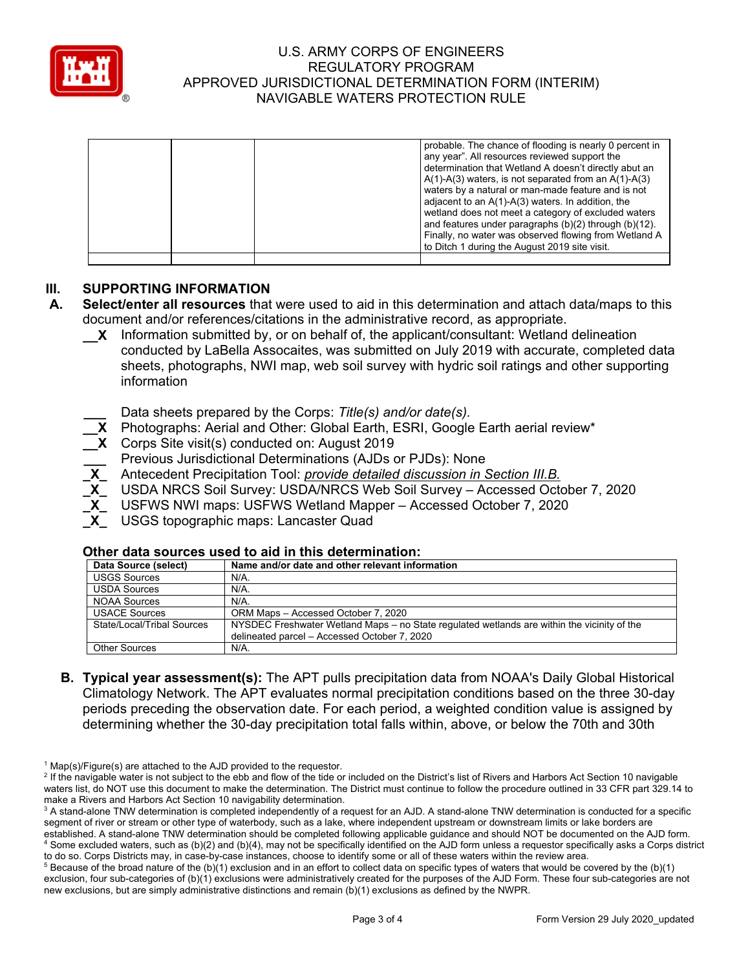

|  | probable. The chance of flooding is nearly 0 percent in<br>any year". All resources reviewed support the<br>determination that Wetland A doesn't directly abut an<br>$A(1)-A(3)$ waters, is not separated from an $A(1)-A(3)$<br>waters by a natural or man-made feature and is not<br>adjacent to an A(1)-A(3) waters. In addition, the<br>wetland does not meet a category of excluded waters<br>and features under paragraphs (b)(2) through (b)(12).<br>Finally, no water was observed flowing from Wetland A<br>to Ditch 1 during the August 2019 site visit. |
|--|--------------------------------------------------------------------------------------------------------------------------------------------------------------------------------------------------------------------------------------------------------------------------------------------------------------------------------------------------------------------------------------------------------------------------------------------------------------------------------------------------------------------------------------------------------------------|
|  |                                                                                                                                                                                                                                                                                                                                                                                                                                                                                                                                                                    |

## **III. SUPPORTING INFORMATION**

- **A. Select/enter all resources** that were used to aid in this determination and attach data/maps to this document and/or references/citations in the administrative record, as appropriate.
	- **\_\_X** Information submitted by, or on behalf of, the applicant/consultant: Wetland delineation conducted by LaBella Assocaites, was submitted on July 2019 with accurate, completed data sheets, photographs, NWI map, web soil survey with hydric soil ratings and other supporting information
		- **\_\_\_** Data sheets prepared by the Corps: *Title(s) and/or date(s).*
	- **\_\_X** Photographs: Aerial and Other: Global Earth, ESRI, Google Earth aerial review\*
	- **\_\_X** Corps Site visit(s) conducted on: August 2019
		- **\_\_\_** Previous Jurisdictional Determinations (AJDs or PJDs): None
		- **\_X\_** Antecedent Precipitation Tool: *provide detailed discussion in Section III.B.*
		- **\_X\_** USDA NRCS Soil Survey: USDA/NRCS Web Soil Survey Accessed October 7, 2020
		- **\_X\_** USFWS NWI maps: USFWS Wetland Mapper Accessed October 7, 2020
		- **\_X\_** USGS topographic maps: Lancaster Quad

#### **Other data sources used to aid in this determination:**

| Data Source (select)       | Name and/or date and other relevant information                                             |
|----------------------------|---------------------------------------------------------------------------------------------|
| <b>USGS Sources</b>        | $N/A$ .                                                                                     |
| <b>USDA Sources</b>        | $N/A$ .                                                                                     |
| <b>NOAA Sources</b>        | $N/A$ .                                                                                     |
| <b>USACE Sources</b>       | ORM Maps - Accessed October 7, 2020                                                         |
| State/Local/Tribal Sources | NYSDEC Freshwater Wetland Maps – no State regulated wetlands are within the vicinity of the |
|                            | delineated parcel - Accessed October 7, 2020                                                |
| <b>Other Sources</b>       | N/A.                                                                                        |

**B. Typical year assessment(s):** The APT pulls precipitation data from NOAA's Daily Global Historical Climatology Network. The APT evaluates normal precipitation conditions based on the three 30-day periods preceding the observation date. For each period, a weighted condition value is assigned by determining whether the 30-day precipitation total falls within, above, or below the 70th and 30th

 $1$  Map(s)/Figure(s) are attached to the AJD provided to the requestor.

<sup>&</sup>lt;sup>2</sup> If the navigable water is not subject to the ebb and flow of the tide or included on the District's list of Rivers and Harbors Act Section 10 navigable waters list, do NOT use this document to make the determination. The District must continue to follow the procedure outlined in 33 CFR part 329.14 to make a Rivers and Harbors Act Section 10 navigability determination.

<sup>&</sup>lt;sup>3</sup> A stand-alone TNW determination is completed independently of a request for an AJD. A stand-alone TNW determination is conducted for a specific segment of river or stream or other type of waterbody, such as a lake, where independent upstream or downstream limits or lake borders are established. A stand-alone TNW determination should be completed following applicable guidance and should NOT be documented on the AJD form. <sup>4</sup> Some excluded waters, such as (b)(2) and (b)(4), may not be specifically identified on the AJD form unless a requestor specifically asks a Corps district to do so. Corps Districts may, in case-by-case instances, choose to identify some or all of these waters within the review area.

 $5$  Because of the broad nature of the (b)(1) exclusion and in an effort to collect data on specific types of waters that would be covered by the (b)(1) exclusion, four sub-categories of (b)(1) exclusions were administratively created for the purposes of the AJD Form. These four sub-categories are not new exclusions, but are simply administrative distinctions and remain (b)(1) exclusions as defined by the NWPR.